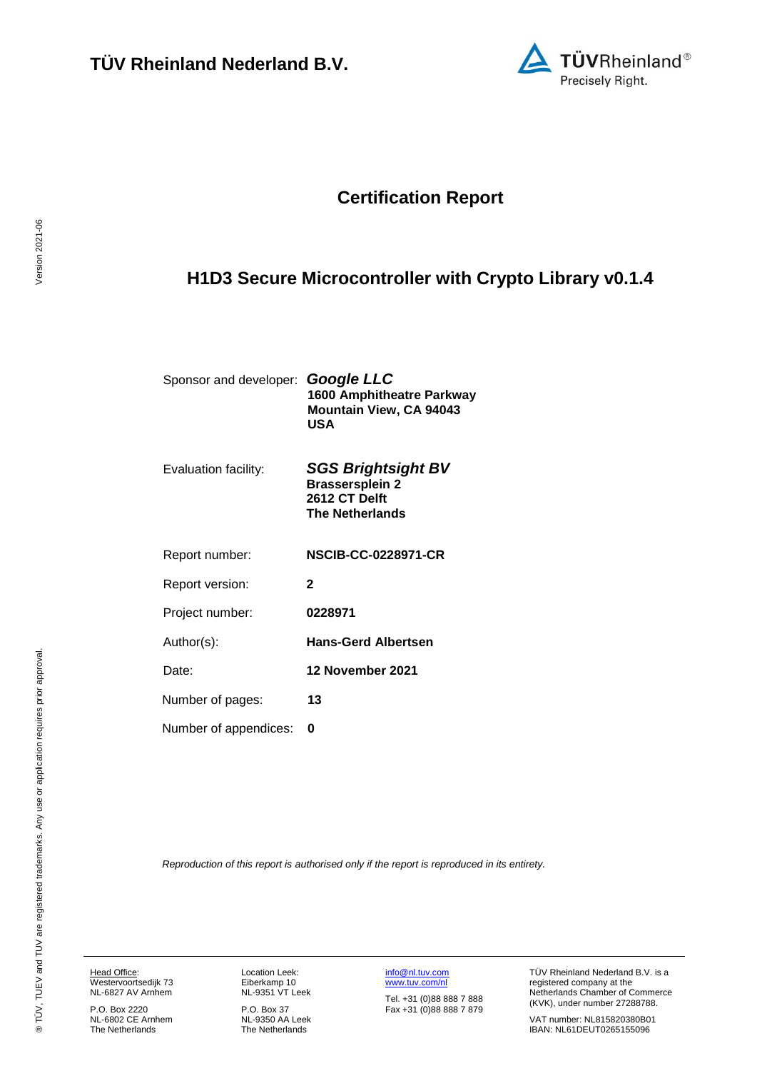

## **Certification Report**

# <span id="page-0-3"></span>**H1D3 Secure Microcontroller with Crypto Library v0.1.4**

<span id="page-0-4"></span><span id="page-0-1"></span><span id="page-0-0"></span>

| Sponsor and developer: Google LLC | 1600 Amphitheatre Parkway<br><b>Mountain View, CA 94043</b><br>USA                             |
|-----------------------------------|------------------------------------------------------------------------------------------------|
| Evaluation facility:              | <b>SGS Brightsight BV</b><br><b>Brassersplein 2</b><br>2612 CT Delft<br><b>The Netherlands</b> |
| Report number:                    | <b>NSCIB-CC-0228971-CR</b>                                                                     |
| Report version:                   | $\mathbf{2}$                                                                                   |
| Project number:                   | 0228971                                                                                        |
| Author(s):                        | <b>Hans-Gerd Albertsen</b>                                                                     |
| Date:                             | 12 November 2021                                                                               |
| Number of pages:                  | 13                                                                                             |
| Number of appendices:             | 0                                                                                              |
|                                   |                                                                                                |

<span id="page-0-2"></span>*Reproduction of this report is authorised only if the report is reproduced in its entirety.*

Head Office: Westervoortsedijk 73 NL-6827 AV Arnhem

P.O. Box 2220 NL-6802 CE Arnhem The Netherlands Location Leek: Eiberkamp 10 NL-9351 VT Leek

P.O. Box 37 NL-9350 AA Leek The Netherlands [info@nl.tuv.com](mailto:info@nl.tuv.com) [www.tuv.com/nl](http://www.tuv.com/nl)

Tel. +31 (0)88 888 7 888 Fax +31 (0)88 888 7 879 TÜV Rheinland Nederland B.V. is a registered company at the Netherlands Chamber of Commerce (KVK), under number 27288788.

VAT number: NL815820380B01 IBAN: NL61DEUT0265155096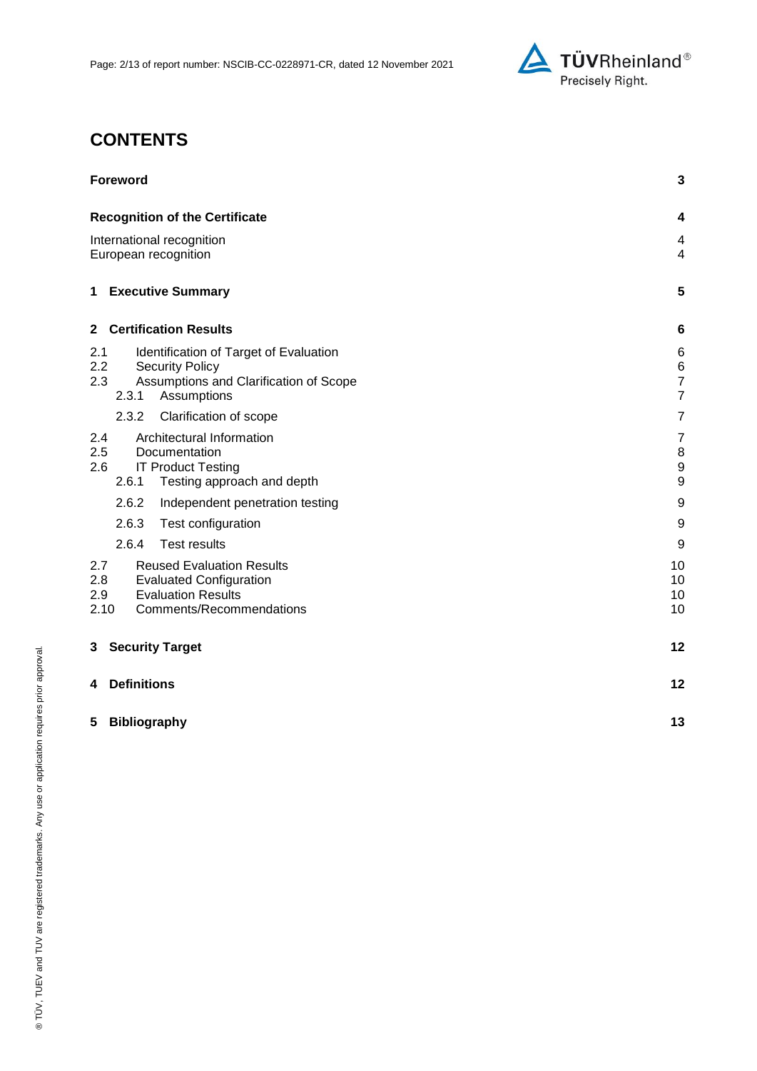

## **CONTENTS**

| <b>Foreword</b>                                                                                                                                             | 3                                                           |
|-------------------------------------------------------------------------------------------------------------------------------------------------------------|-------------------------------------------------------------|
| <b>Recognition of the Certificate</b>                                                                                                                       | 4                                                           |
| International recognition<br>European recognition                                                                                                           | 4<br>$\overline{\mathbf{4}}$                                |
| <b>Executive Summary</b><br>$\mathbf 1$                                                                                                                     | 5                                                           |
| <b>Certification Results</b><br>$\mathbf{2}$                                                                                                                | 6                                                           |
| Identification of Target of Evaluation<br>2.1<br>$2.2\,$<br><b>Security Policy</b><br>2.3<br>Assumptions and Clarification of Scope<br>2.3.1<br>Assumptions | 6<br>$\,6$<br>$\overline{7}$<br>$\overline{7}$              |
| 2.3.2<br>Clarification of scope                                                                                                                             | $\overline{7}$                                              |
| Architectural Information<br>2.4<br>2.5<br>Documentation<br>2.6<br><b>IT Product Testing</b><br>2.6.1<br>Testing approach and depth                         | $\overline{7}$<br>8<br>$\boldsymbol{9}$<br>$\boldsymbol{9}$ |
| 2.6.2<br>Independent penetration testing                                                                                                                    | 9                                                           |
| 2.6.3<br>Test configuration                                                                                                                                 | 9                                                           |
| 2.6.4<br><b>Test results</b>                                                                                                                                | 9                                                           |
| 2.7<br><b>Reused Evaluation Results</b><br>2.8<br><b>Evaluated Configuration</b><br><b>Evaluation Results</b><br>2.9<br>2.10<br>Comments/Recommendations    | 10<br>10<br>10<br>10                                        |
| <b>Security Target</b><br>3                                                                                                                                 | 12                                                          |
| <b>Definitions</b><br>4                                                                                                                                     | 12                                                          |
| 5<br><b>Bibliography</b>                                                                                                                                    | 13                                                          |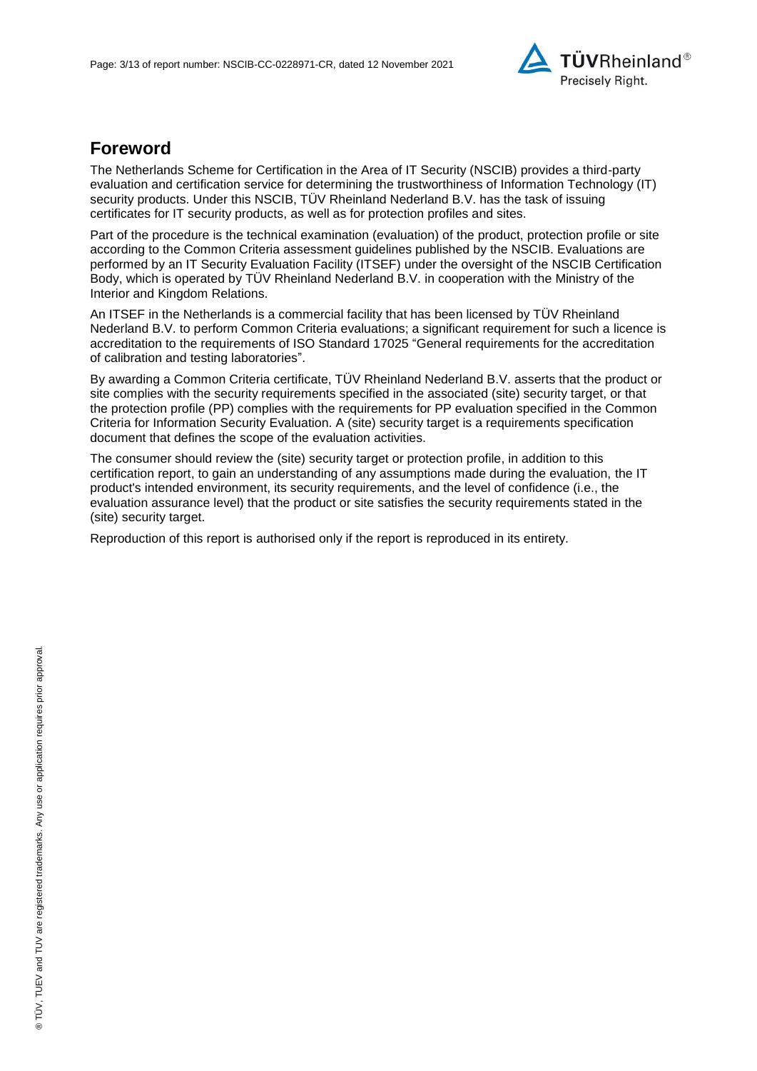

## **Foreword**

The Netherlands Scheme for Certification in the Area of IT Security (NSCIB) provides a third-party evaluation and certification service for determining the trustworthiness of Information Technology (IT) security products. Under this NSCIB, TÜV Rheinland Nederland B.V. has the task of issuing certificates for IT security products, as well as for protection profiles and sites.

Part of the procedure is the technical examination (evaluation) of the product, protection profile or site according to the Common Criteria assessment guidelines published by the NSCIB. Evaluations are performed by an IT Security Evaluation Facility (ITSEF) under the oversight of the NSCIB Certification Body, which is operated by TÜV Rheinland Nederland B.V. in cooperation with the Ministry of the Interior and Kingdom Relations.

An ITSEF in the Netherlands is a commercial facility that has been licensed by TÜV Rheinland Nederland B.V. to perform Common Criteria evaluations; a significant requirement for such a licence is accreditation to the requirements of ISO Standard 17025 "General requirements for the accreditation of calibration and testing laboratories".

By awarding a Common Criteria certificate, TÜV Rheinland Nederland B.V. asserts that the product or site complies with the security requirements specified in the associated (site) security target, or that the protection profile (PP) complies with the requirements for PP evaluation specified in the Common Criteria for Information Security Evaluation. A (site) security target is a requirements specification document that defines the scope of the evaluation activities.

The consumer should review the (site) security target or protection profile, in addition to this certification report, to gain an understanding of any assumptions made during the evaluation, the IT product's intended environment, its security requirements, and the level of confidence (i.e., the evaluation assurance level) that the product or site satisfies the security requirements stated in the (site) security target.

Reproduction of this report is authorised only if the report is reproduced in its entirety.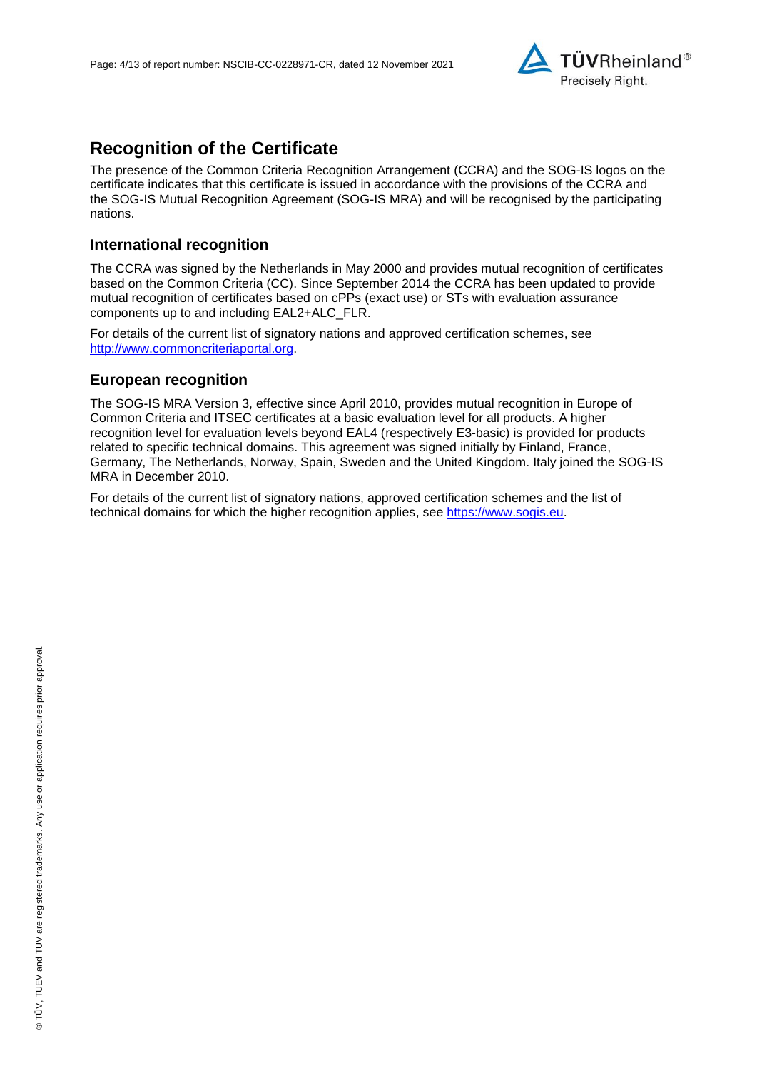

## **Recognition of the Certificate**

The presence of the Common Criteria Recognition Arrangement (CCRA) and the SOG-IS logos on the certificate indicates that this certificate is issued in accordance with the provisions of the CCRA and the SOG-IS Mutual Recognition Agreement (SOG-IS MRA) and will be recognised by the participating nations.

### **International recognition**

The CCRA was signed by the Netherlands in May 2000 and provides mutual recognition of certificates based on the Common Criteria (CC). Since September 2014 the CCRA has been updated to provide mutual recognition of certificates based on cPPs (exact use) or STs with evaluation assurance components up to and including EAL2+ALC\_FLR.

For details of the current list of signatory nations and approved certification schemes, see [http://www.commoncriteriaportal.org.](http://www.commoncriteriaportal.org/)

### **European recognition**

The SOG-IS MRA Version 3, effective since April 2010, provides mutual recognition in Europe of Common Criteria and ITSEC certificates at a basic evaluation level for all products. A higher recognition level for evaluation levels beyond EAL4 (respectively E3-basic) is provided for products related to specific technical domains. This agreement was signed initially by Finland, France, Germany, The Netherlands, Norway, Spain, Sweden and the United Kingdom. Italy joined the SOG-IS MRA in December 2010.

For details of the current list of signatory nations, approved certification schemes and the list of technical domains for which the higher recognition applies, see [https://www.sogis.eu.](https://www.sogis.eu/)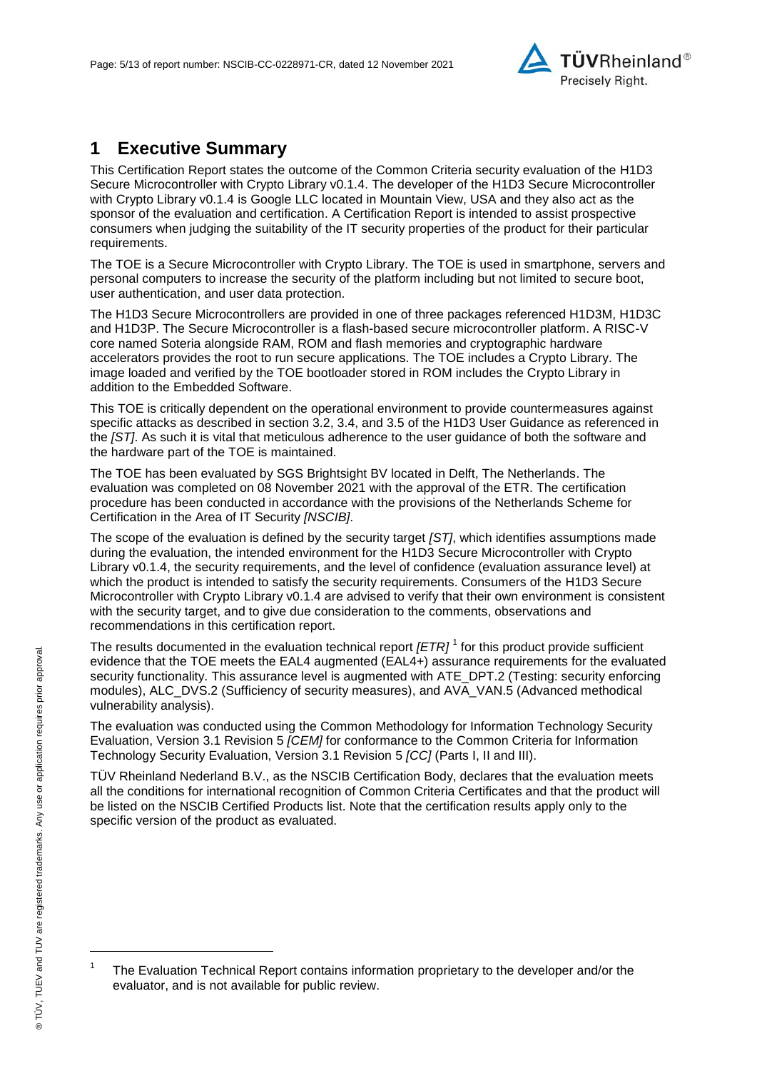<span id="page-4-2"></span>

## **1 Executive Summary**

This Certification Report states the outcome of the Common Criteria security evaluation of the [H1D3](#page-0-3)  [Secure Microcontroller with Crypto Library v0.1.4.](#page-0-3) The developer of the [H1D3 Secure Microcontroller](#page-0-3)  [with Crypto Library v0.1.4](#page-0-3) is [Google LLC](#page-0-4) located in Mountain View, USA and they also act as the sponsor of the evaluation and certification. A Certification Report is intended to assist prospective consumers when judging the suitability of the IT security properties of the product for their particular requirements.

The TOE is a Secure Microcontroller with Crypto Library. The TOE is used in smartphone, servers and personal computers to increase the security of the platform including but not limited to secure boot, user authentication, and user data protection.

The H1D3 Secure Microcontrollers are provided in one of three packages referenced H1D3M, H1D3C and H1D3P. The Secure Microcontroller is a flash-based secure microcontroller platform. A RISC-V core named Soteria alongside RAM, ROM and flash memories and cryptographic hardware accelerators provides the root to run secure applications. The TOE includes a Crypto Library. The image loaded and verified by the TOE bootloader stored in ROM includes the Crypto Library in addition to the Embedded Software.

This TOE is critically dependent on the operational environment to provide countermeasures against specific attacks as described in section 3.2, 3.4, and 3.5 of the H1D3 User Guidance as referenced in the *[ST]*. As such it is vital that meticulous adherence to the user guidance of both the software and the hardware part of the TOE is maintained.

The TOE has been evaluated by SGS Brightsight BV located in Delft, The Netherlands. The evaluation was completed on 08 November 2021 with the approval of the ETR. The certification procedure has been conducted in accordance with the provisions of the Netherlands Scheme for Certification in the Area of IT Security *[NSCIB]*.

The scope of the evaluation is defined by the security target *[ST]*, which identifies assumptions made during the evaluation, the intended environment for the [H1D3 Secure Microcontroller with Crypto](#page-0-3)  [Library v0.1.4,](#page-0-3) the security requirements, and the level of confidence (evaluation assurance level) at which the product is intended to satisfy the security requirements. Consumers of the [H1D3 Secure](#page-0-3)  [Microcontroller with Crypto Library v0.1.4](#page-0-3) are advised to verify that their own environment is consistent with the security target, and to give due consideration to the comments, observations and recommendations in this certification report.

<span id="page-4-0"></span>The results documented in the evaluation technical report *[ETR]* <sup>1</sup> for this product provide sufficient evidence that the TOE meets the EAL4 augmented (EA[L4+](#page-4-0)) assurance requirements for the evaluated security functionality. This assurance level is augmented with ATE\_DPT.2 (Testing: security enforcing modules), ALC\_DVS.2 (Sufficiency of security measures), and AVA\_VAN.5 (Advanced methodical vulnerability analysis).

<span id="page-4-1"></span>The evaluation was conducted using the Common Methodology for Information Technology Security Evaluation, Version 3.1 Revision 5 *[CEM]* for conformance to the Common Criteria for Information Technology Security Evaluation, Version 3.1 Revision [5](#page-4-1) *[CC]* (Parts I, II and III).

TÜV Rheinland Nederland B.V., as the NSCIB Certification Body, declares that the evaluation meets all the conditions for international recognition of Common Criteria Certificates and that the product will be listed on the NSCIB Certified Products list. Note that the certification results apply only to the specific version of the product as evaluated.

l

<sup>1</sup> The Evaluation Technical Report contains information proprietary to the developer and/or the evaluator, and is not available for public review.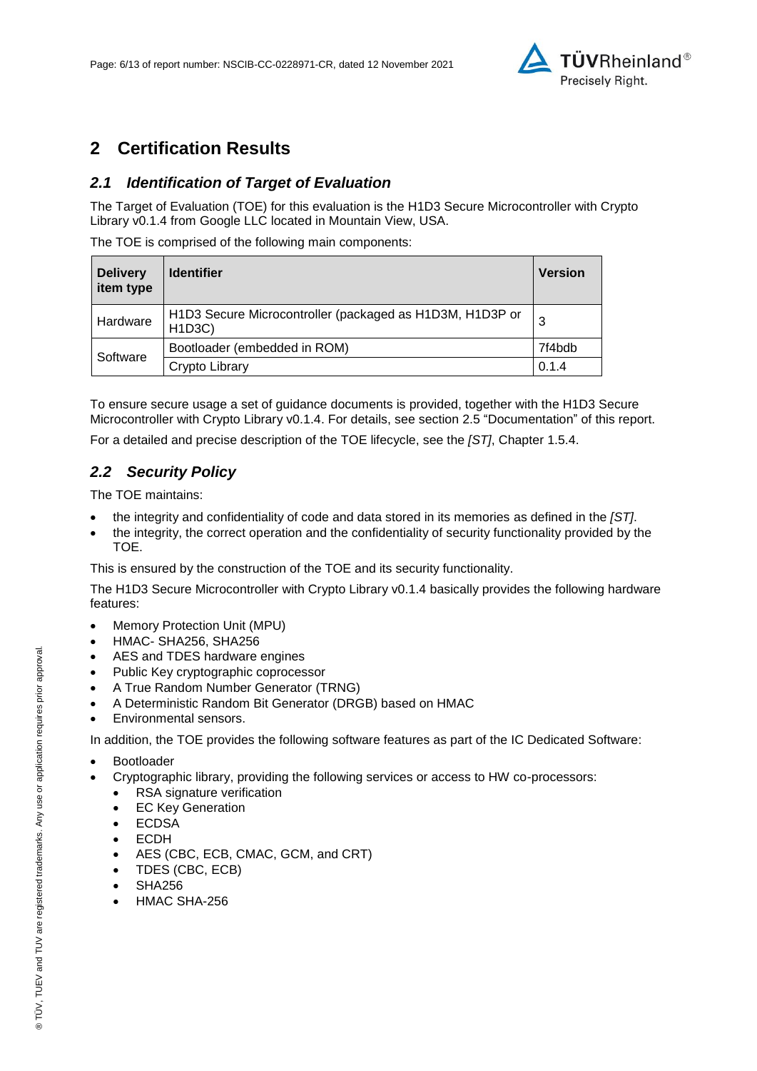

## **2 Certification Results**

## *2.1 Identification of Target of Evaluation*

The Target of Evaluation (TOE) for this evaluation is the [H1D3 Secure Microcontroller with Crypto](#page-0-3)  [Library v0.1.4](#page-0-3) from [Google LLC](#page-0-4) located in [Mountain View, USA.](#page-4-2)

The TOE is comprised of the following main components:

| <b>Delivery</b><br>item type | <b>Identifier</b>                                                                                                                                      | <b>Version</b> |
|------------------------------|--------------------------------------------------------------------------------------------------------------------------------------------------------|----------------|
| Hardware                     | H <sub>1</sub> D <sub>3</sub> Secure Microcontroller (packaged as H <sub>1</sub> D <sub>3</sub> M, H <sub>1</sub> D <sub>3</sub> P or<br><b>H1D3C)</b> |                |
| Software                     | Bootloader (embedded in ROM)                                                                                                                           | 7f4bdb         |
|                              | Crypto Library                                                                                                                                         | 0.1.4          |

To ensure secure usage a set of guidance documents is provided, together with the [H1D3 Secure](#page-0-3)  [Microcontroller with Crypto Library v0.1.4.](#page-0-3) For details, see section [2.5](#page-7-0) ["Documentation"](#page-7-0) of this report.

For a detailed and precise description of the TOE lifecycle, see the *[ST]*, Chapter 1.5.4.

## *2.2 Security Policy*

The TOE maintains:

- the integrity and confidentiality of code and data stored in its memories as defined in the *[ST]*.
- the integrity, the correct operation and the confidentiality of security functionality provided by the TOE.

This is ensured by the construction of the TOE and its security functionality.

The H1D3 Secure Microcontroller with Crypto Library v0.1.4 basically provides the following hardware features:

- Memory Protection Unit (MPU)
- HMAC- SHA256, SHA256
- AES and TDES hardware engines
- Public Key cryptographic coprocessor
- A True Random Number Generator (TRNG)
- A Deterministic Random Bit Generator (DRGB) based on HMAC
- Environmental sensors.

In addition, the TOE provides the following software features as part of the IC Dedicated Software:

- Bootloader
- Cryptographic library, providing the following services or access to HW co-processors:
	- RSA signature verification
	- EC Key Generation
	- ECDSA
	- ECDH
	- AES (CBC, ECB, CMAC, GCM, and CRT)
	- TDES (CBC, ECB)
	- SHA256
	- HMAC SHA-256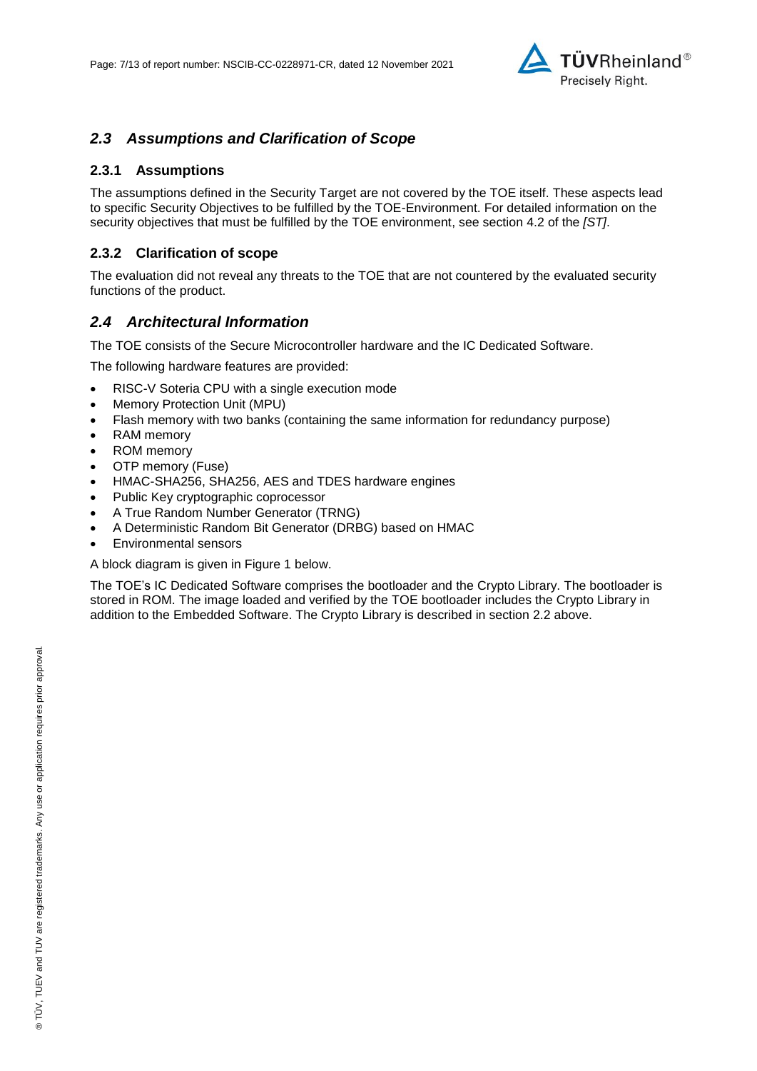

## *2.3 Assumptions and Clarification of Scope*

#### **2.3.1 Assumptions**

The assumptions defined in the Security Target are not covered by the TOE itself. These aspects lead to specific Security Objectives to be fulfilled by the TOE-Environment. For detailed information on the security objectives that must be fulfilled by the TOE environment, see section 4.2 of the *[ST]*.

### **2.3.2 Clarification of scope**

The evaluation did not reveal any threats to the TOE that are not countered by the evaluated security functions of the product.

### *2.4 Architectural Information*

The TOE consists of the Secure Microcontroller hardware and the IC Dedicated Software.

The following hardware features are provided:

- RISC-V Soteria CPU with a single execution mode
- Memory Protection Unit (MPU)
- Flash memory with two banks (containing the same information for redundancy purpose)
- RAM memory
- ROM memory
- OTP memory (Fuse)
- HMAC-SHA256, SHA256, AES and TDES hardware engines
- Public Key cryptographic coprocessor
- A True Random Number Generator (TRNG)
- A Deterministic Random Bit Generator (DRBG) based on HMAC
- Environmental sensors

A block diagram is given in Figure 1 below.

The TOE's IC Dedicated Software comprises the bootloader and the Crypto Library. The bootloader is stored in ROM. The image loaded and verified by the TOE bootloader includes the Crypto Library in addition to the Embedded Software. The Crypto Library is described in section 2.2 above.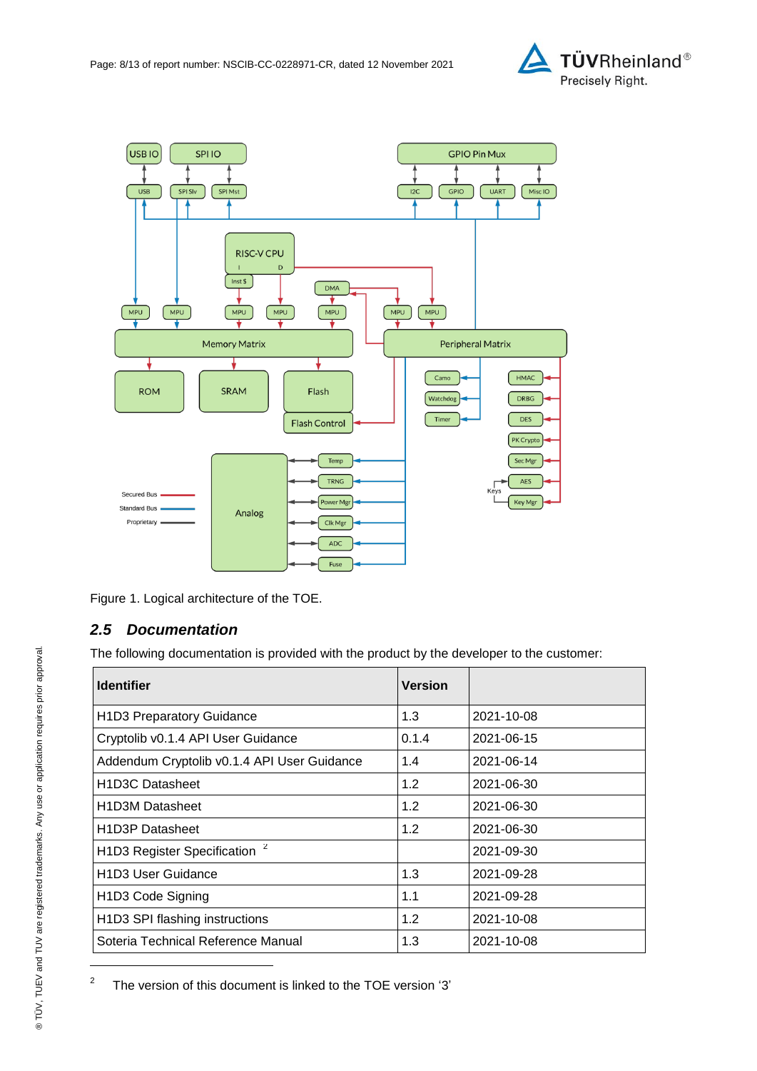



Figure 1. Logical architecture of the TOE.

### <span id="page-7-0"></span>*2.5 Documentation*

The following documentation is provided with the product by the developer to the customer:

| <b>Identifier</b>                                       | <b>Version</b> |            |
|---------------------------------------------------------|----------------|------------|
| H1D3 Preparatory Guidance                               | 1.3            | 2021-10-08 |
| Cryptolib v0.1.4 API User Guidance                      | 0.1.4          | 2021-06-15 |
| Addendum Cryptolib v0.1.4 API User Guidance             | 1.4            | 2021-06-14 |
| H <sub>1</sub> D <sub>3</sub> C Datasheet               | 1.2            | 2021-06-30 |
| H <sub>1</sub> D <sub>3</sub> M Datasheet               | 1.2            | 2021-06-30 |
| <b>H1D3P Datasheet</b>                                  | 1.2            | 2021-06-30 |
| 2<br>H1D3 Register Specification                        |                | 2021-09-30 |
| H <sub>1</sub> D <sub>3</sub> User Guidance             | 1.3            | 2021-09-28 |
| H <sub>1</sub> D <sub>3</sub> Code Signing              | 1.1            | 2021-09-28 |
| H <sub>1</sub> D <sub>3</sub> SPI flashing instructions | 1.2            | 2021-10-08 |
| Soteria Technical Reference Manual                      | 1.3            | 2021-10-08 |

<sup>2</sup> The version of this document is linked to the TOE version '3'

l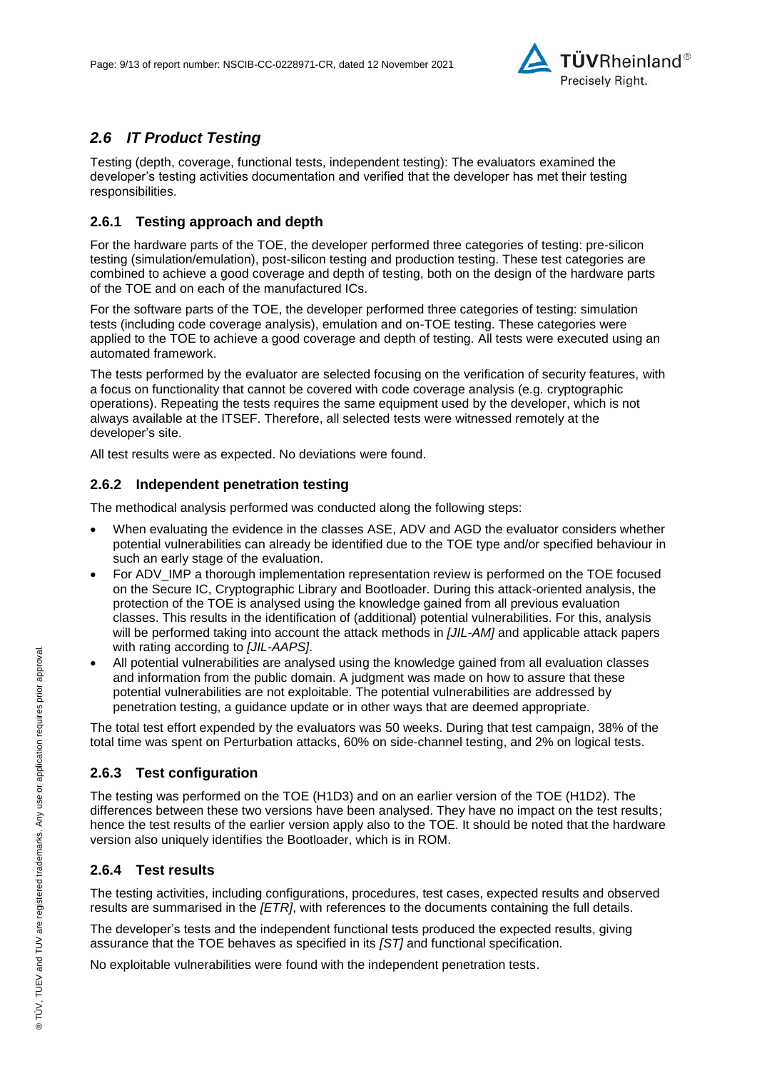

## *2.6 IT Product Testing*

Testing (depth, coverage, functional tests, independent testing): The evaluators examined the developer's testing activities documentation and verified that the developer has met their testing responsibilities.

### **2.6.1 Testing approach and depth**

For the hardware parts of the TOE, the developer performed three categories of testing: pre-silicon testing (simulation/emulation), post-silicon testing and production testing. These test categories are combined to achieve a good coverage and depth of testing, both on the design of the hardware parts of the TOE and on each of the manufactured ICs.

For the software parts of the TOE, the developer performed three categories of testing: simulation tests (including code coverage analysis), emulation and on-TOE testing. These categories were applied to the TOE to achieve a good coverage and depth of testing. All tests were executed using an automated framework.

The tests performed by the evaluator are selected focusing on the verification of security features, with a focus on functionality that cannot be covered with code coverage analysis (e.g. cryptographic operations). Repeating the tests requires the same equipment used by the developer, which is not always available at the ITSEF. Therefore, all selected tests were witnessed remotely at the developer's site.

All test results were as expected. No deviations were found.

### **2.6.2 Independent penetration testing**

The methodical analysis performed was conducted along the following steps:

- When evaluating the evidence in the classes ASE, ADV and AGD the evaluator considers whether potential vulnerabilities can already be identified due to the TOE type and/or specified behaviour in such an early stage of the evaluation.
- For ADV IMP a thorough implementation representation review is performed on the TOE focused on the Secure IC, Cryptographic Library and Bootloader. During this attack-oriented analysis, the protection of the TOE is analysed using the knowledge gained from all previous evaluation classes. This results in the identification of (additional) potential vulnerabilities. For this, analysis will be performed taking into account the attack methods in *[JIL-AM]* and applicable attack papers with rating according to *[JIL-AAPS]*.
- All potential vulnerabilities are analysed using the knowledge gained from all evaluation classes and information from the public domain. A judgment was made on how to assure that these potential vulnerabilities are not exploitable. The potential vulnerabilities are addressed by penetration testing, a guidance update or in other ways that are deemed appropriate.

The total test effort expended by the evaluators was 50 weeks. During that test campaign, 38% of the total time was spent on Perturbation attacks, 60% on side-channel testing, and 2% on logical tests.

### **2.6.3 Test configuration**

The testing was performed on the TOE (H1D3) and on an earlier version of the TOE (H1D2). The differences between these two versions have been analysed. They have no impact on the test results; hence the test results of the earlier version apply also to the TOE. It should be noted that the hardware version also uniquely identifies the Bootloader, which is in ROM.

### **2.6.4 Test results**

The testing activities, including configurations, procedures, test cases, expected results and observed results are summarised in the *[ETR]*, with references to the documents containing the full details.

The developer's tests and the independent functional tests produced the expected results, giving assurance that the TOE behaves as specified in its *[ST]* and functional specification.

No exploitable vulnerabilities were found with the independent penetration tests.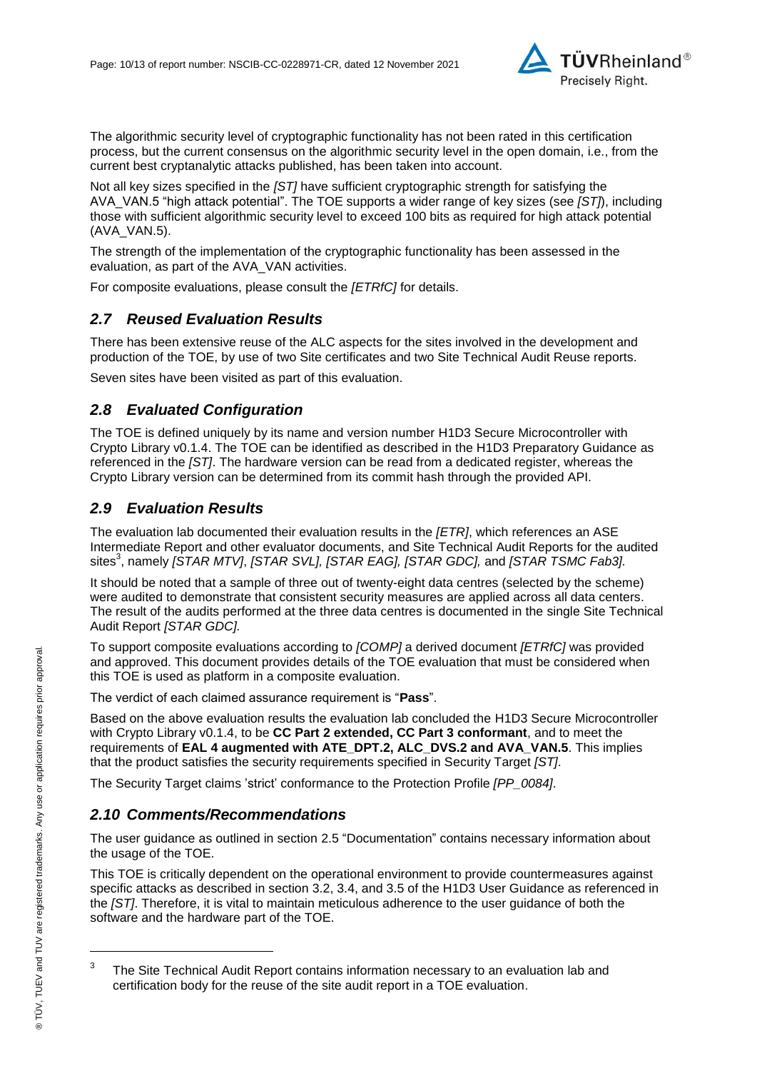

The algorithmic security level of cryptographic functionality has not been rated in this certification process, but the current consensus on the algorithmic security level in the open domain, i.e., from the current best cryptanalytic attacks published, has been taken into account.

Not all key sizes specified in the *[ST]* have sufficient cryptographic strength for satisfying the AVA\_VAN.5 "high attack potential". The TOE supports a wider range of key sizes (see *[ST]*), including those with sufficient algorithmic security level to exceed 100 bits as required for high attack potential (AVA\_VAN.5).

The strength of the implementation of the cryptographic functionality has been assessed in the evaluation, as part of the AVA\_VAN activities.

For composite evaluations, please consult the *[ETRfC]* for details.

#### *2.7 Reused Evaluation Results*

There has been extensive reuse of the ALC aspects for the sites involved in the development and production of the TOE, by use of two Site certificates and two Site Technical Audit Reuse reports.

Seven sites have been visited as part of this evaluation.

#### *2.8 Evaluated Configuration*

The TOE is defined uniquely by its name and version number [H1D3 Secure Microcontroller with](#page-0-3)  [Crypto Library v0.1.4.](#page-0-3) The TOE can be identified as described in the H1D3 Preparatory Guidance as referenced in the *[ST]*. The hardware version can be read from a dedicated register, whereas the Crypto Library version can be determined from its commit hash through the provided API.

#### *2.9 Evaluation Results*

The evaluation lab documented their evaluation results in the *[ETR]*, which references an ASE Intermediate Report and other evaluator documents, and Site Technical Audit Reports for the audited sites<sup>3</sup>, namely *[STAR MTV], [STAR SVL], [STAR EAG], [STAR GDC],* and *[STAR TSMC Fab3].* 

It should be noted that a sample of three out of twenty-eight data centres (selected by the scheme) were audited to demonstrate that consistent security measures are applied across all data centers. The result of the audits performed at the three data centres is documented in the single Site Technical Audit Report *[STAR GDC].*

To support composite evaluations according to *[COMP]* a derived document *[ETRfC]* was provided and approved. This document provides details of the TOE evaluation that must be considered when this TOE is used as platform in a composite evaluation.

The verdict of each claimed assurance requirement is "**Pass**".

Based on the above evaluation results the evaluation lab concluded the [H1D3 Secure Microcontroller](#page-0-3)  [with Crypto Library v0.1.4,](#page-0-3) to be **CC Part 2 extended, CC Part 3 conformant**, and to meet the requirements of **EAL [4](#page-4-0) augmented with ATE\_DPT.2, ALC\_DVS.2 and AVA\_VAN.5**. This implies that the product satisfies the security requirements specified in Security Target *[ST]*.

The Security Target claims 'strict' conformance to the Protection Profile *[PP\_0084]*.

#### *2.10 Comments/Recommendations*

The user guidance as outlined in section [2.5](#page-7-0) ["Documentation"](#page-7-0) contains necessary information about the usage of the TOE.

This TOE is critically dependent on the operational environment to provide countermeasures against specific attacks as described in section 3.2, 3.4, and 3.5 of the H1D3 User Guidance as referenced in the *[ST]*. Therefore, it is vital to maintain meticulous adherence to the user guidance of both the software and the hardware part of the TOE.

l

<sup>3</sup> The Site Technical Audit Report contains information necessary to an evaluation lab and certification body for the reuse of the site audit report in a TOE evaluation.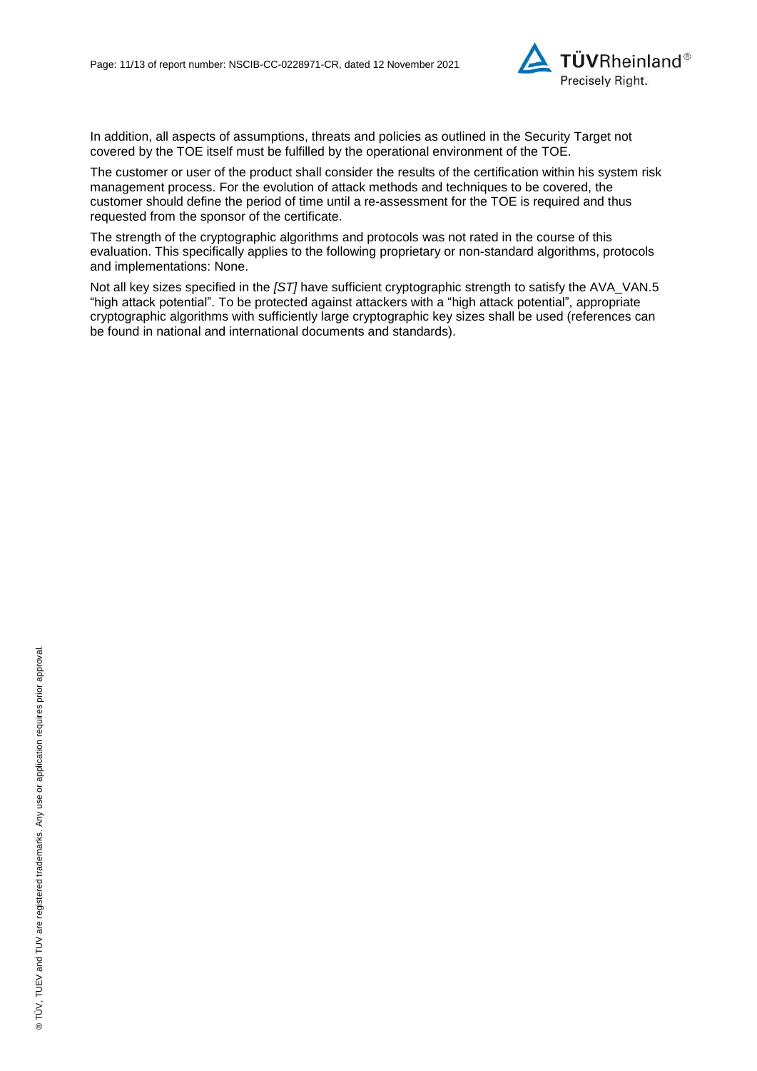

In addition, all aspects of assumptions, threats and policies as outlined in the Security Target not covered by the TOE itself must be fulfilled by the operational environment of the TOE.

The customer or user of the product shall consider the results of the certification within his system risk management process. For the evolution of attack methods and techniques to be covered, the customer should define the period of time until a re-assessment for the TOE is required and thus requested from the sponsor of the certificate.

The strength of the cryptographic algorithms and protocols was not rated in the course of this evaluation. This specifically applies to the following proprietary or non-standard algorithms, protocols and implementations: None.

Not all key sizes specified in the *[ST]* have sufficient cryptographic strength to satisfy the AVA\_VAN.5 "high attack potential". To be protected against attackers with a "high attack potential", appropriate cryptographic algorithms with sufficiently large cryptographic key sizes shall be used (references can be found in national and international documents and standards).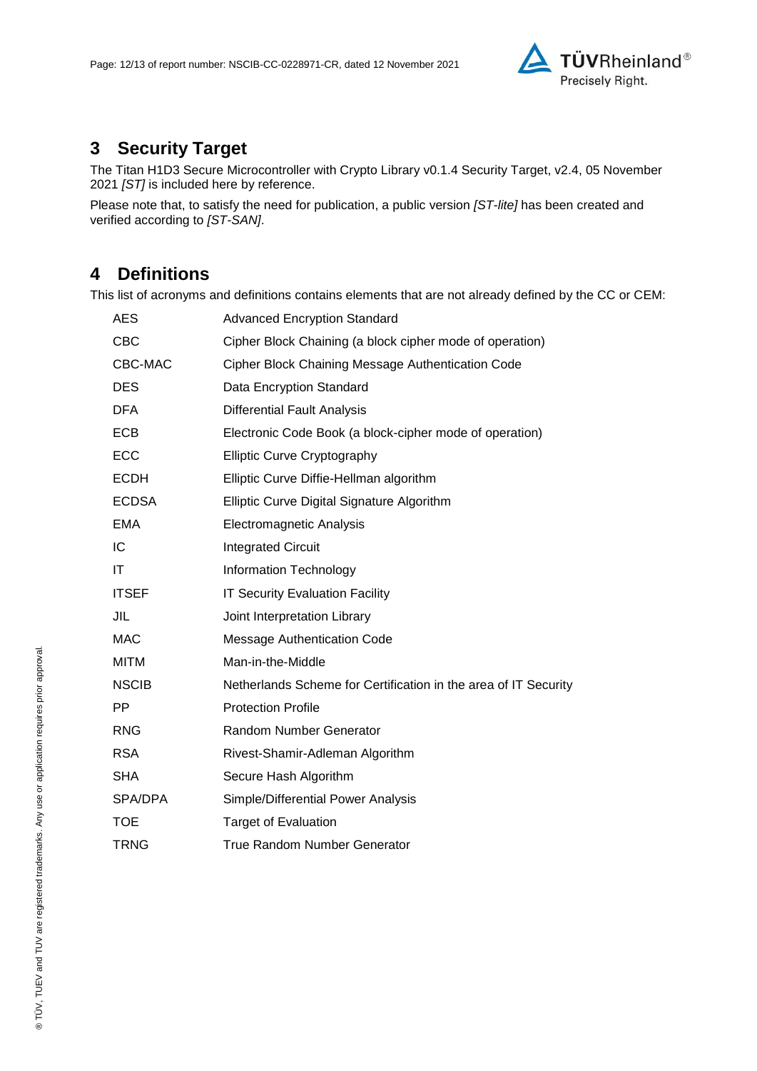

## **3 Security Target**

The [Titan H1D3 Secure Microcontroller with Crypto Library v0.1.4 Security Target, v2.4, 05 November](#page-12-0)  [2021](#page-12-0) *[ST]* is included here by reference.

Please note that, to satisfy the need for publication, a public version *[ST-lite]* has been created and verified according to *[ST-SAN]*.

## **4 Definitions**

This list of acronyms and definitions contains elements that are not already defined by the CC or CEM:

| AES          | <b>Advanced Encryption Standard</b>                             |
|--------------|-----------------------------------------------------------------|
| <b>CBC</b>   | Cipher Block Chaining (a block cipher mode of operation)        |
| CBC-MAC      | Cipher Block Chaining Message Authentication Code               |
| <b>DES</b>   | Data Encryption Standard                                        |
| <b>DFA</b>   | <b>Differential Fault Analysis</b>                              |
| <b>ECB</b>   | Electronic Code Book (a block-cipher mode of operation)         |
| <b>ECC</b>   | <b>Elliptic Curve Cryptography</b>                              |
| <b>ECDH</b>  | Elliptic Curve Diffie-Hellman algorithm                         |
| <b>ECDSA</b> | Elliptic Curve Digital Signature Algorithm                      |
| <b>EMA</b>   | <b>Electromagnetic Analysis</b>                                 |
| IC           | <b>Integrated Circuit</b>                                       |
| IΤ           | Information Technology                                          |
| <b>ITSEF</b> | <b>IT Security Evaluation Facility</b>                          |
| JIL          | Joint Interpretation Library                                    |
| <b>MAC</b>   | Message Authentication Code                                     |
| <b>MITM</b>  | Man-in-the-Middle                                               |
| <b>NSCIB</b> | Netherlands Scheme for Certification in the area of IT Security |
| <b>PP</b>    | <b>Protection Profile</b>                                       |
| <b>RNG</b>   | Random Number Generator                                         |
| <b>RSA</b>   | Rivest-Shamir-Adleman Algorithm                                 |
| <b>SHA</b>   | Secure Hash Algorithm                                           |
| SPA/DPA      | Simple/Differential Power Analysis                              |
| <b>TOE</b>   | <b>Target of Evaluation</b>                                     |
| <b>TRNG</b>  | <b>True Random Number Generator</b>                             |